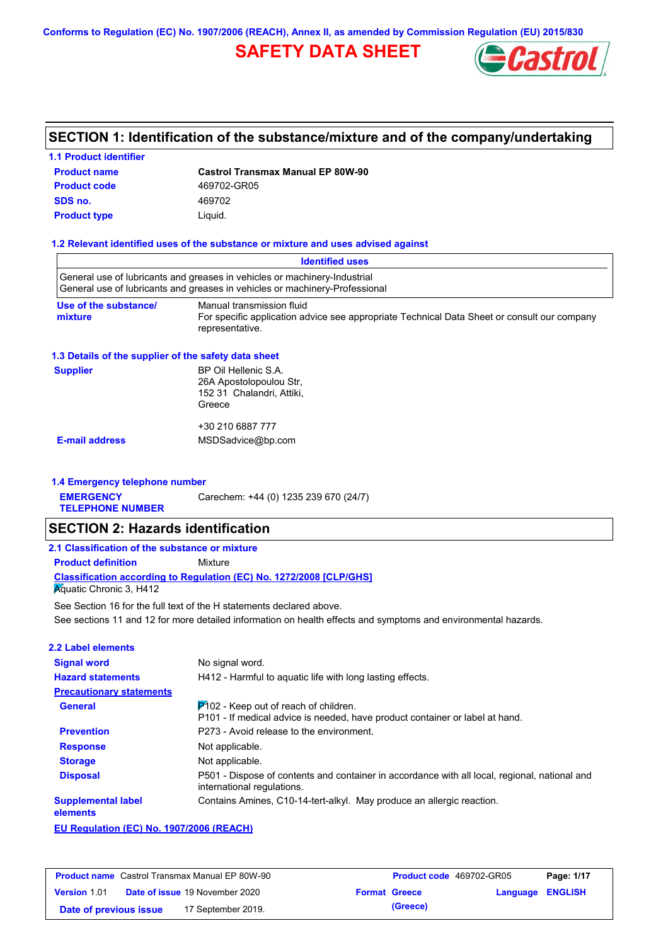**Conforms to Regulation (EC) No. 1907/2006 (REACH), Annex II, as amended by Commission Regulation (EU) 2015/830**

## **SAFETY DATA SHEET**



## **SECTION 1: Identification of the substance/mixture and of the company/undertaking**

**Identified uses**

### **1.1 Product identifier**

| <b>Product name</b> | <b>Castrol Transmax Manual EP 80W-90</b> |
|---------------------|------------------------------------------|
| <b>Product code</b> | 469702-GR05                              |
| SDS no.             | 469702                                   |
| <b>Product type</b> | Liauid.                                  |

#### **1.2 Relevant identified uses of the substance or mixture and uses advised against**

| Use of the substance/<br>mixture<br>1.3 Details of the supplier of the safety data sheet<br><b>Supplier</b> | Manual transmission fluid<br>For specific application advice see appropriate Technical Data Sheet or consult our company<br>representative.<br>BP Oil Hellenic S.A.<br>26A Apostolopoulou Str. |
|-------------------------------------------------------------------------------------------------------------|------------------------------------------------------------------------------------------------------------------------------------------------------------------------------------------------|
|                                                                                                             |                                                                                                                                                                                                |
|                                                                                                             |                                                                                                                                                                                                |
|                                                                                                             | 152 31 Chalandri, Attiki,<br>Greece                                                                                                                                                            |
|                                                                                                             | +30 210 6887 777                                                                                                                                                                               |
| <b>E-mail address</b>                                                                                       | MSDSadvice@bp.com                                                                                                                                                                              |
| 1.4 Emergency telephone number                                                                              |                                                                                                                                                                                                |
| <b>EMERGENCY</b><br><b>TELEPHONE NUMBER</b>                                                                 | Carechem: +44 (0) 1235 239 670 (24/7)                                                                                                                                                          |
| <b>SECTION 2: Hazards identification</b>                                                                    |                                                                                                                                                                                                |
| 2.1 Classification of the substance or mixture                                                              |                                                                                                                                                                                                |
| <b>Product definition</b>                                                                                   | Mixture                                                                                                                                                                                        |
| <b>Aquatic Chronic 3, H412</b>                                                                              | Classification according to Regulation (EC) No. 1272/2008 [CLP/GHS]                                                                                                                            |
|                                                                                                             | See Section 16 for the full text of the H statements declared above.<br>See sections 11 and 12 for more detailed information on health effects and symptoms and environmental hazards.         |
| 2.2 Label elements                                                                                          |                                                                                                                                                                                                |
| <b>Signal word</b>                                                                                          | No signal word.                                                                                                                                                                                |
| <b>Hazard statements</b>                                                                                    | H412 - Harmful to aquatic life with long lasting effects.                                                                                                                                      |
| <b>Precautionary statements</b>                                                                             |                                                                                                                                                                                                |
| <b>General</b>                                                                                              | $P$ 102 - Keep out of reach of children.<br>P101 - If medical advice is needed, have product container or label at hand.                                                                       |
| <b>Prevention</b>                                                                                           | P273 - Avoid release to the environment.                                                                                                                                                       |
| <b>Response</b>                                                                                             | Not applicable.                                                                                                                                                                                |
| <b>Storage</b>                                                                                              | Not applicable.                                                                                                                                                                                |
| <b>Disposal</b>                                                                                             | P501 - Dispose of contents and container in accordance with all local, regional, national and<br>international regulations.                                                                    |
| <b>Supplemental label</b><br>elements                                                                       | Contains Amines, C10-14-tert-alkyl. May produce an allergic reaction.                                                                                                                          |
| <b>EU Regulation (EC) No. 1907/2006 (REACH)</b>                                                             |                                                                                                                                                                                                |

|                        | <b>Product name</b> Castrol Transmax Manual EP 80W-90 | <b>Product code</b> 469702-GR05 |                         | Page: 1/17 |
|------------------------|-------------------------------------------------------|---------------------------------|-------------------------|------------|
| <b>Version 1.01</b>    | <b>Date of issue 19 November 2020</b>                 | <b>Format Greece</b>            | <b>Language ENGLISH</b> |            |
| Date of previous issue | 17 September 2019.                                    | (Greece)                        |                         |            |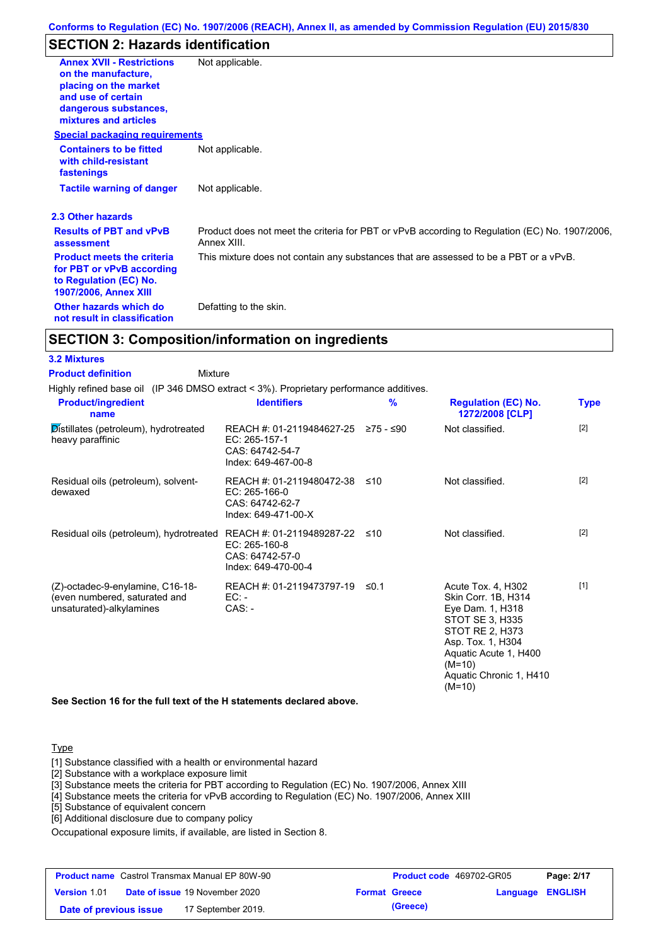## **SECTION 2: Hazards identification**

| <b>Annex XVII - Restrictions</b><br>on the manufacture.<br>placing on the market<br>and use of certain<br>dangerous substances,<br>mixtures and articles | Not applicable.                                                                                               |
|----------------------------------------------------------------------------------------------------------------------------------------------------------|---------------------------------------------------------------------------------------------------------------|
| <b>Special packaging requirements</b>                                                                                                                    |                                                                                                               |
| <b>Containers to be fitted</b><br>with child-resistant<br>fastenings                                                                                     | Not applicable.                                                                                               |
| <b>Tactile warning of danger</b>                                                                                                                         | Not applicable.                                                                                               |
| 2.3 Other hazards                                                                                                                                        |                                                                                                               |
| <b>Results of PBT and vPvB</b><br>assessment                                                                                                             | Product does not meet the criteria for PBT or vPvB according to Regulation (EC) No. 1907/2006,<br>Annex XIII. |
| <b>Product meets the criteria</b><br>for PBT or vPvB according<br>to Regulation (EC) No.<br><b>1907/2006, Annex XIII</b>                                 | This mixture does not contain any substances that are assessed to be a PBT or a vPvB.                         |
| Other hazards which do<br>not result in classification                                                                                                   | Defatting to the skin.                                                                                        |

## **SECTION 3: Composition/information on ingredients**

#### **3.2 Mixtures**

| <b>Product definition</b><br>Mixture                                                          |                                                                                      |            |                                                                                                                                                          |             |
|-----------------------------------------------------------------------------------------------|--------------------------------------------------------------------------------------|------------|----------------------------------------------------------------------------------------------------------------------------------------------------------|-------------|
| Highly refined base oil (IP 346 DMSO extract < 3%). Proprietary performance additives.        |                                                                                      |            |                                                                                                                                                          |             |
| <b>Product/ingredient</b><br>name                                                             | <b>Identifiers</b>                                                                   | %          | <b>Regulation (EC) No.</b><br>1272/2008 [CLP]                                                                                                            | <b>Type</b> |
| Distillates (petroleum), hydrotreated<br>heavy paraffinic                                     | REACH #: 01-2119484627-25<br>EC: 265-157-1<br>CAS: 64742-54-7<br>Index: 649-467-00-8 | 275 - ≤90  | Not classified.                                                                                                                                          | $[2]$       |
| Residual oils (petroleum), solvent-<br>dewaxed                                                | REACH #: 01-2119480472-38<br>EC: 265-166-0<br>CAS: 64742-62-7<br>Index: 649-471-00-X | ≤10        | Not classified.                                                                                                                                          | $[2]$       |
| Residual oils (petroleum), hydrotreated                                                       | REACH #: 01-2119489287-22<br>EC: 265-160-8<br>CAS: 64742-57-0<br>Index: 649-470-00-4 | ≤10        | Not classified.                                                                                                                                          | $[2]$       |
| (Z)-octadec-9-enylamine, C16-18-<br>(even numbered, saturated and<br>unsaturated)-alkylamines | REACH #: 01-2119473797-19<br>EC: -<br>$CAS: -$                                       | $\leq$ 0.1 | Acute Tox. 4, H302<br>Skin Corr. 1B, H314<br>Eye Dam. 1, H318<br>STOT SE 3, H335<br><b>STOT RE 2, H373</b><br>Asp. Tox. 1, H304<br>Aquatic Acute 1, H400 | $[1]$       |

 $(M=10)$ 

 $(M=10)$ 

Aquatic Chronic 1, H410

**See Section 16 for the full text of the H statements declared above.**

#### **Type**

[1] Substance classified with a health or environmental hazard

[2] Substance with a workplace exposure limit

[3] Substance meets the criteria for PBT according to Regulation (EC) No. 1907/2006, Annex XIII

[4] Substance meets the criteria for vPvB according to Regulation (EC) No. 1907/2006, Annex XIII

[5] Substance of equivalent concern

[6] Additional disclosure due to company policy

Occupational exposure limits, if available, are listed in Section 8.

|                        | <b>Product name</b> Castrol Transmax Manual EP 80W-90 | Product code 469702-GR05 |                  | Page: 2/17 |
|------------------------|-------------------------------------------------------|--------------------------|------------------|------------|
| <b>Version 1.01</b>    | <b>Date of issue 19 November 2020</b>                 | <b>Format Greece</b>     | Language ENGLISH |            |
| Date of previous issue | 17 September 2019.                                    | (Greece)                 |                  |            |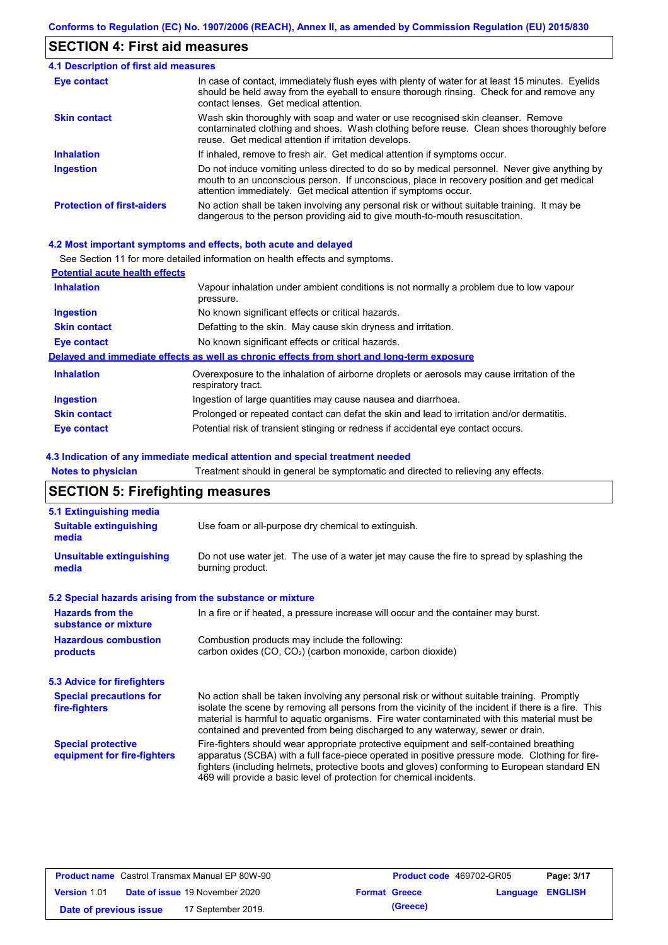## **SECTION 4: First aid measures**

| 4.1 Description of first aid measures |                                                                                                                                                                                                                                                               |
|---------------------------------------|---------------------------------------------------------------------------------------------------------------------------------------------------------------------------------------------------------------------------------------------------------------|
| Eye contact                           | In case of contact, immediately flush eyes with plenty of water for at least 15 minutes. Eyelids<br>should be held away from the eyeball to ensure thorough rinsing. Check for and remove any<br>contact lenses. Get medical attention.                       |
| <b>Skin contact</b>                   | Wash skin thoroughly with soap and water or use recognised skin cleanser. Remove<br>contaminated clothing and shoes. Wash clothing before reuse. Clean shoes thoroughly before<br>reuse. Get medical attention if irritation develops.                        |
| <b>Inhalation</b>                     | If inhaled, remove to fresh air. Get medical attention if symptoms occur.                                                                                                                                                                                     |
| <b>Ingestion</b>                      | Do not induce vomiting unless directed to do so by medical personnel. Never give anything by<br>mouth to an unconscious person. If unconscious, place in recovery position and get medical<br>attention immediately. Get medical attention if symptoms occur. |
| <b>Protection of first-aiders</b>     | No action shall be taken involving any personal risk or without suitable training. It may be<br>dangerous to the person providing aid to give mouth-to-mouth resuscitation.                                                                                   |

#### **4.2 Most important symptoms and effects, both acute and delayed**

See Section 11 for more detailed information on health effects and symptoms.

| <b>Potential acute health effects</b> |                                                                                                                   |
|---------------------------------------|-------------------------------------------------------------------------------------------------------------------|
| <b>Inhalation</b>                     | Vapour inhalation under ambient conditions is not normally a problem due to low vapour<br>pressure.               |
| <b>Ingestion</b>                      | No known significant effects or critical hazards.                                                                 |
| <b>Skin contact</b>                   | Defatting to the skin. May cause skin dryness and irritation.                                                     |
| Eye contact                           | No known significant effects or critical hazards.                                                                 |
|                                       | Delayed and immediate effects as well as chronic effects from short and long-term exposure                        |
| <b>Inhalation</b>                     | Overexposure to the inhalation of airborne droplets or aerosols may cause irritation of the<br>respiratory tract. |
| <b>Ingestion</b>                      | Ingestion of large quantities may cause nausea and diarrhoea.                                                     |
| <b>Skin contact</b>                   | Prolonged or repeated contact can defat the skin and lead to irritation and/or dermatitis.                        |
| Eye contact                           | Potential risk of transient stinging or redness if accidental eye contact occurs.                                 |

#### **4.3 Indication of any immediate medical attention and special treatment needed**

**Notes to physician** Treatment should in general be symptomatic and directed to relieving any effects.

## **SECTION 5: Firefighting measures**

| 5.1 Extinguishing media                                   |                                                                                                                                                                                                                                                                                                                                                                                       |  |  |  |
|-----------------------------------------------------------|---------------------------------------------------------------------------------------------------------------------------------------------------------------------------------------------------------------------------------------------------------------------------------------------------------------------------------------------------------------------------------------|--|--|--|
| <b>Suitable extinguishing</b><br>media                    | Use foam or all-purpose dry chemical to extinguish.                                                                                                                                                                                                                                                                                                                                   |  |  |  |
| <b>Unsuitable extinguishing</b><br>media                  | Do not use water jet. The use of a water jet may cause the fire to spread by splashing the<br>burning product.                                                                                                                                                                                                                                                                        |  |  |  |
| 5.2 Special hazards arising from the substance or mixture |                                                                                                                                                                                                                                                                                                                                                                                       |  |  |  |
| <b>Hazards from the</b><br>substance or mixture           | In a fire or if heated, a pressure increase will occur and the container may burst.                                                                                                                                                                                                                                                                                                   |  |  |  |
| <b>Hazardous combustion</b>                               | Combustion products may include the following:                                                                                                                                                                                                                                                                                                                                        |  |  |  |
| products                                                  | carbon oxides (CO, CO <sub>2</sub> ) (carbon monoxide, carbon dioxide)                                                                                                                                                                                                                                                                                                                |  |  |  |
| 5.3 Advice for firefighters                               |                                                                                                                                                                                                                                                                                                                                                                                       |  |  |  |
| <b>Special precautions for</b><br>fire-fighters           | No action shall be taken involving any personal risk or without suitable training. Promptly<br>isolate the scene by removing all persons from the vicinity of the incident if there is a fire. This<br>material is harmful to aquatic organisms. Fire water contaminated with this material must be<br>contained and prevented from being discharged to any waterway, sewer or drain. |  |  |  |
| <b>Special protective</b><br>equipment for fire-fighters  | Fire-fighters should wear appropriate protective equipment and self-contained breathing<br>apparatus (SCBA) with a full face-piece operated in positive pressure mode. Clothing for fire-<br>fighters (including helmets, protective boots and gloves) conforming to European standard EN<br>469 will provide a basic level of protection for chemical incidents.                     |  |  |  |

| <b>Product name</b> Castrol Transmax Manual EP 80W-90 |  |                                       | <b>Product code</b> 469702-GR05 |                         | Page: 3/17 |
|-------------------------------------------------------|--|---------------------------------------|---------------------------------|-------------------------|------------|
| Version 1.01                                          |  | <b>Date of issue 19 November 2020</b> | <b>Format Greece</b>            | <b>Language ENGLISH</b> |            |
| Date of previous issue                                |  | 17 September 2019.                    | (Greece)                        |                         |            |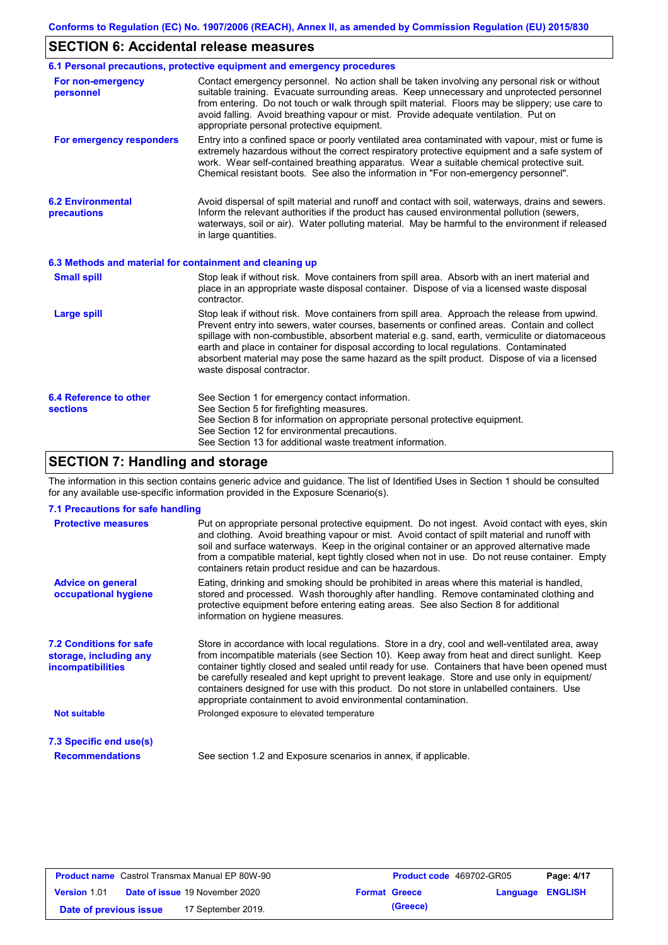## **SECTION 6: Accidental release measures**

|                                                  | 6.1 Personal precautions, protective equipment and emergency procedures                                                                                                                                                                                                                                                                                                                                                                                                                                               |
|--------------------------------------------------|-----------------------------------------------------------------------------------------------------------------------------------------------------------------------------------------------------------------------------------------------------------------------------------------------------------------------------------------------------------------------------------------------------------------------------------------------------------------------------------------------------------------------|
| For non-emergency<br>personnel                   | Contact emergency personnel. No action shall be taken involving any personal risk or without<br>suitable training. Evacuate surrounding areas. Keep unnecessary and unprotected personnel<br>from entering. Do not touch or walk through spilt material. Floors may be slippery; use care to<br>avoid falling. Avoid breathing vapour or mist. Provide adequate ventilation. Put on<br>appropriate personal protective equipment.                                                                                     |
| For emergency responders                         | Entry into a confined space or poorly ventilated area contaminated with vapour, mist or fume is<br>extremely hazardous without the correct respiratory protective equipment and a safe system of<br>work. Wear self-contained breathing apparatus. Wear a suitable chemical protective suit.<br>Chemical resistant boots. See also the information in "For non-emergency personnel".                                                                                                                                  |
| <b>6.2 Environmental</b><br><b>precautions</b>   | Avoid dispersal of spilt material and runoff and contact with soil, waterways, drains and sewers.<br>Inform the relevant authorities if the product has caused environmental pollution (sewers,<br>waterways, soil or air). Water polluting material. May be harmful to the environment if released<br>in large quantities.                                                                                                                                                                                           |
|                                                  | 6.3 Methods and material for containment and cleaning up                                                                                                                                                                                                                                                                                                                                                                                                                                                              |
| <b>Small spill</b>                               | Stop leak if without risk. Move containers from spill area. Absorb with an inert material and<br>place in an appropriate waste disposal container. Dispose of via a licensed waste disposal<br>contractor.                                                                                                                                                                                                                                                                                                            |
| <b>Large spill</b>                               | Stop leak if without risk. Move containers from spill area. Approach the release from upwind.<br>Prevent entry into sewers, water courses, basements or confined areas. Contain and collect<br>spillage with non-combustible, absorbent material e.g. sand, earth, vermiculite or diatomaceous<br>earth and place in container for disposal according to local regulations. Contaminated<br>absorbent material may pose the same hazard as the spilt product. Dispose of via a licensed<br>waste disposal contractor. |
| <b>6.4 Reference to other</b><br><b>sections</b> | See Section 1 for emergency contact information.<br>See Section 5 for firefighting measures.<br>See Section 8 for information on appropriate personal protective equipment.<br>See Section 12 for environmental precautions.<br>See Section 13 for additional waste treatment information.                                                                                                                                                                                                                            |

## **SECTION 7: Handling and storage**

The information in this section contains generic advice and guidance. The list of Identified Uses in Section 1 should be consulted for any available use-specific information provided in the Exposure Scenario(s).

| 7.1 Precautions for safe handling                                                    |                                                                                                                                                                                                                                                                                                                                                                                                                                                                                                                                                               |
|--------------------------------------------------------------------------------------|---------------------------------------------------------------------------------------------------------------------------------------------------------------------------------------------------------------------------------------------------------------------------------------------------------------------------------------------------------------------------------------------------------------------------------------------------------------------------------------------------------------------------------------------------------------|
| <b>Protective measures</b>                                                           | Put on appropriate personal protective equipment. Do not ingest. Avoid contact with eyes, skin<br>and clothing. Avoid breathing vapour or mist. Avoid contact of spilt material and runoff with<br>soil and surface waterways. Keep in the original container or an approved alternative made<br>from a compatible material, kept tightly closed when not in use. Do not reuse container. Empty<br>containers retain product residue and can be hazardous.                                                                                                    |
| <b>Advice on general</b><br>occupational hygiene                                     | Eating, drinking and smoking should be prohibited in areas where this material is handled,<br>stored and processed. Wash thoroughly after handling. Remove contaminated clothing and<br>protective equipment before entering eating areas. See also Section 8 for additional<br>information on hygiene measures.                                                                                                                                                                                                                                              |
| <b>7.2 Conditions for safe</b><br>storage, including any<br><i>incompatibilities</i> | Store in accordance with local regulations. Store in a dry, cool and well-ventilated area, away<br>from incompatible materials (see Section 10). Keep away from heat and direct sunlight. Keep<br>container tightly closed and sealed until ready for use. Containers that have been opened must<br>be carefully resealed and kept upright to prevent leakage. Store and use only in equipment/<br>containers designed for use with this product. Do not store in unlabelled containers. Use<br>appropriate containment to avoid environmental contamination. |
| <b>Not suitable</b>                                                                  | Prolonged exposure to elevated temperature                                                                                                                                                                                                                                                                                                                                                                                                                                                                                                                    |
| 7.3 Specific end use(s)                                                              |                                                                                                                                                                                                                                                                                                                                                                                                                                                                                                                                                               |
| <b>Recommendations</b>                                                               | See section 1.2 and Exposure scenarios in annex, if applicable.                                                                                                                                                                                                                                                                                                                                                                                                                                                                                               |

| <b>Product name</b> Castrol Transmax Manual EP 80W-90 |  |                                       | <b>Product code</b> 469702-GR05 |                      | Page: 4/17              |  |
|-------------------------------------------------------|--|---------------------------------------|---------------------------------|----------------------|-------------------------|--|
| <b>Version 1.01</b>                                   |  | <b>Date of issue 19 November 2020</b> |                                 | <b>Format Greece</b> | <b>Language ENGLISH</b> |  |
| Date of previous issue                                |  | 17 September 2019.                    |                                 | (Greece)             |                         |  |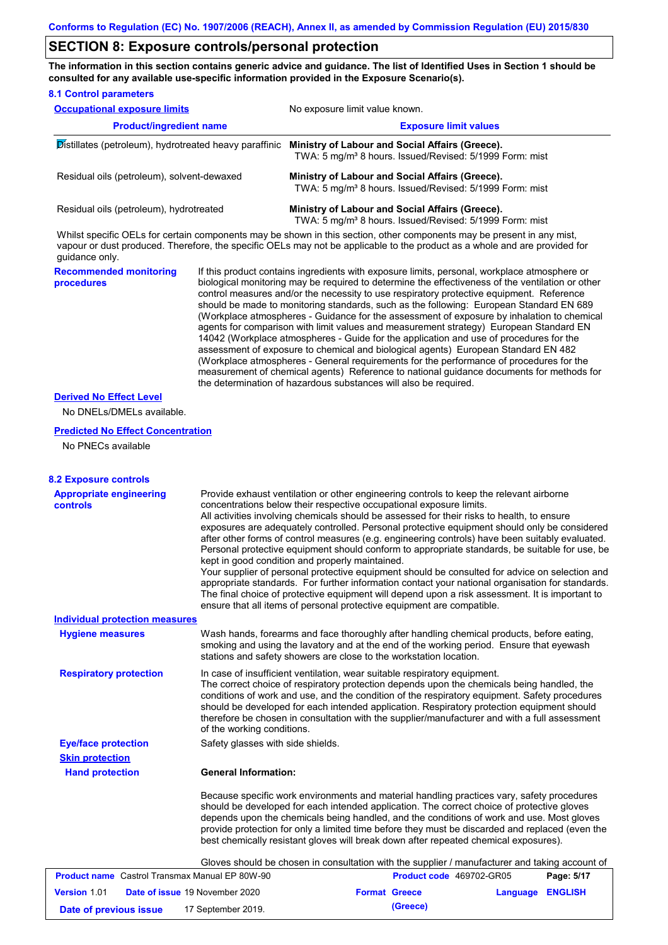### **SECTION 8: Exposure controls/personal protection**

**The information in this section contains generic advice and guidance. The list of Identified Uses in Section 1 should be consulted for any available use-specific information provided in the Exposure Scenario(s).**

| <b>8.1 Control parameters</b>                               | No exposure limit value known.                                                                                                                                                                                                                                                                                                                                                                                                                                                                                                                                                                                                                                                                                                                                                                                                                                                                                                                                                                                             |  |  |  |
|-------------------------------------------------------------|----------------------------------------------------------------------------------------------------------------------------------------------------------------------------------------------------------------------------------------------------------------------------------------------------------------------------------------------------------------------------------------------------------------------------------------------------------------------------------------------------------------------------------------------------------------------------------------------------------------------------------------------------------------------------------------------------------------------------------------------------------------------------------------------------------------------------------------------------------------------------------------------------------------------------------------------------------------------------------------------------------------------------|--|--|--|
| <b>Occupational exposure limits</b>                         |                                                                                                                                                                                                                                                                                                                                                                                                                                                                                                                                                                                                                                                                                                                                                                                                                                                                                                                                                                                                                            |  |  |  |
| <b>Product/ingredient name</b>                              | <b>Exposure limit values</b>                                                                                                                                                                                                                                                                                                                                                                                                                                                                                                                                                                                                                                                                                                                                                                                                                                                                                                                                                                                               |  |  |  |
|                                                             | Distillates (petroleum), hydrotreated heavy paraffinic Ministry of Labour and Social Affairs (Greece).<br>TWA: 5 mg/m <sup>3</sup> 8 hours. Issued/Revised: 5/1999 Form: mist                                                                                                                                                                                                                                                                                                                                                                                                                                                                                                                                                                                                                                                                                                                                                                                                                                              |  |  |  |
| Residual oils (petroleum), solvent-dewaxed                  | Ministry of Labour and Social Affairs (Greece).<br>TWA: 5 mg/m <sup>3</sup> 8 hours. Issued/Revised: 5/1999 Form: mist                                                                                                                                                                                                                                                                                                                                                                                                                                                                                                                                                                                                                                                                                                                                                                                                                                                                                                     |  |  |  |
| Residual oils (petroleum), hydrotreated                     | Ministry of Labour and Social Affairs (Greece).<br>TWA: 5 mg/m <sup>3</sup> 8 hours. Issued/Revised: 5/1999 Form: mist                                                                                                                                                                                                                                                                                                                                                                                                                                                                                                                                                                                                                                                                                                                                                                                                                                                                                                     |  |  |  |
| guidance only.                                              | Whilst specific OELs for certain components may be shown in this section, other components may be present in any mist,<br>vapour or dust produced. Therefore, the specific OELs may not be applicable to the product as a whole and are provided for                                                                                                                                                                                                                                                                                                                                                                                                                                                                                                                                                                                                                                                                                                                                                                       |  |  |  |
| <b>Recommended monitoring</b><br>procedures                 | If this product contains ingredients with exposure limits, personal, workplace atmosphere or<br>biological monitoring may be required to determine the effectiveness of the ventilation or other<br>control measures and/or the necessity to use respiratory protective equipment. Reference<br>should be made to monitoring standards, such as the following: European Standard EN 689<br>(Workplace atmospheres - Guidance for the assessment of exposure by inhalation to chemical<br>agents for comparison with limit values and measurement strategy) European Standard EN<br>14042 (Workplace atmospheres - Guide for the application and use of procedures for the<br>assessment of exposure to chemical and biological agents) European Standard EN 482<br>(Workplace atmospheres - General requirements for the performance of procedures for the<br>measurement of chemical agents) Reference to national guidance documents for methods for<br>the determination of hazardous substances will also be required. |  |  |  |
| <b>Derived No Effect Level</b><br>No DNELs/DMELs available. |                                                                                                                                                                                                                                                                                                                                                                                                                                                                                                                                                                                                                                                                                                                                                                                                                                                                                                                                                                                                                            |  |  |  |
| <b>Predicted No Effect Concentration</b>                    |                                                                                                                                                                                                                                                                                                                                                                                                                                                                                                                                                                                                                                                                                                                                                                                                                                                                                                                                                                                                                            |  |  |  |
| No PNECs available                                          |                                                                                                                                                                                                                                                                                                                                                                                                                                                                                                                                                                                                                                                                                                                                                                                                                                                                                                                                                                                                                            |  |  |  |
| <b>8.2 Exposure controls</b>                                |                                                                                                                                                                                                                                                                                                                                                                                                                                                                                                                                                                                                                                                                                                                                                                                                                                                                                                                                                                                                                            |  |  |  |
| <b>Appropriate engineering</b><br><b>controls</b>           | Provide exhaust ventilation or other engineering controls to keep the relevant airborne<br>concentrations below their respective occupational exposure limits.<br>All activities involving chemicals should be assessed for their risks to health, to ensure<br>exposures are adequately controlled. Personal protective equipment should only be considered<br>after other forms of control measures (e.g. engineering controls) have been suitably evaluated.<br>Personal protective equipment should conform to appropriate standards, be suitable for use, be<br>kept in good condition and properly maintained.<br>Your supplier of personal protective equipment should be consulted for advice on selection and<br>appropriate standards. For further information contact your national organisation for standards.<br>The final choice of protective equipment will depend upon a risk assessment. It is important to<br>ensure that all items of personal protective equipment are compatible.                    |  |  |  |
| <b>Individual protection measures</b>                       |                                                                                                                                                                                                                                                                                                                                                                                                                                                                                                                                                                                                                                                                                                                                                                                                                                                                                                                                                                                                                            |  |  |  |
| <b>Hygiene measures</b>                                     | Wash hands, forearms and face thoroughly after handling chemical products, before eating,<br>smoking and using the lavatory and at the end of the working period. Ensure that eyewash<br>stations and safety showers are close to the workstation location.                                                                                                                                                                                                                                                                                                                                                                                                                                                                                                                                                                                                                                                                                                                                                                |  |  |  |
| <b>Respiratory protection</b>                               | In case of insufficient ventilation, wear suitable respiratory equipment.<br>The correct choice of respiratory protection depends upon the chemicals being handled, the<br>conditions of work and use, and the condition of the respiratory equipment. Safety procedures                                                                                                                                                                                                                                                                                                                                                                                                                                                                                                                                                                                                                                                                                                                                                   |  |  |  |

should be developed for each intended application. Respiratory protection equipment should therefore be chosen in consultation with the supplier/manufacturer and with a full assessment of the working conditions.

**Eye/face protection** Safety glasses with side shields.

**Hand protection**

**Skin protection**

#### **General Information:**

Because specific work environments and material handling practices vary, safety procedures should be developed for each intended application. The correct choice of protective gloves depends upon the chemicals being handled, and the conditions of work and use. Most gloves provide protection for only a limited time before they must be discarded and replaced (even the best chemically resistant gloves will break down after repeated chemical exposures).

Gloves should be chosen in consultation with the supplier / manufacturer and taking account of

| <b>Product name</b> Castrol Transmax Manual EP 80W-90 |  |                                       | <b>Product code</b> 469702-GR05 |                      | Page: 5/17       |  |
|-------------------------------------------------------|--|---------------------------------------|---------------------------------|----------------------|------------------|--|
| <b>Version 1.01</b>                                   |  | <b>Date of issue 19 November 2020</b> |                                 | <b>Format Greece</b> | Language ENGLISH |  |
| Date of previous issue                                |  | 17 September 2019.                    |                                 | (Greece)             |                  |  |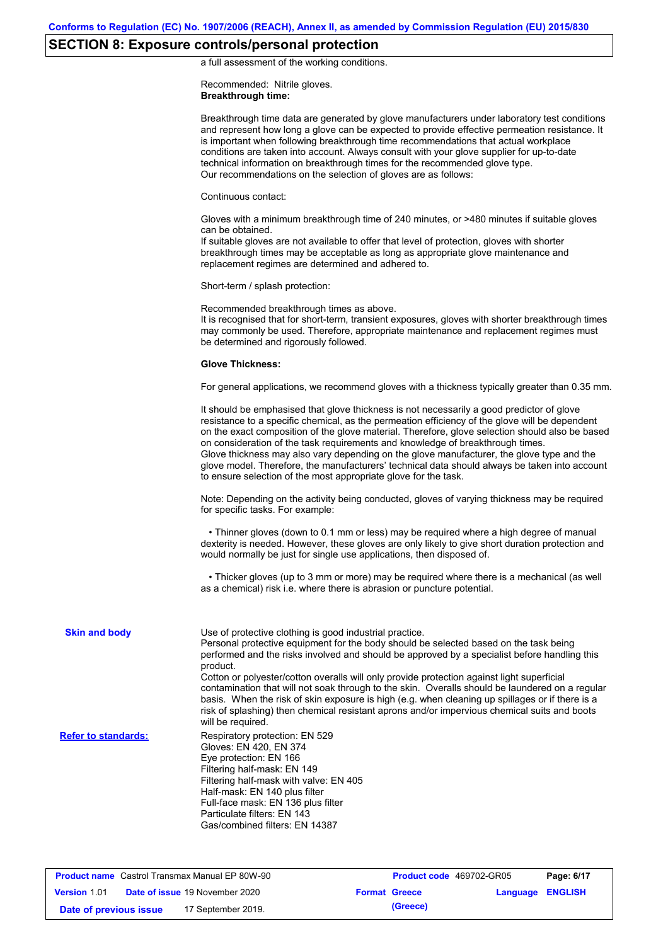# **SECTION 8: Exposure controls/personal protection**

a full assessment of the working conditions.

Recommended: Nitrile gloves. **Breakthrough time:**

|                            | Breakthrough time data are generated by glove manufacturers under laboratory test conditions<br>and represent how long a glove can be expected to provide effective permeation resistance. It<br>is important when following breakthrough time recommendations that actual workplace<br>conditions are taken into account. Always consult with your glove supplier for up-to-date<br>technical information on breakthrough times for the recommended glove type.<br>Our recommendations on the selection of gloves are as follows:                                                                                                                               |
|----------------------------|------------------------------------------------------------------------------------------------------------------------------------------------------------------------------------------------------------------------------------------------------------------------------------------------------------------------------------------------------------------------------------------------------------------------------------------------------------------------------------------------------------------------------------------------------------------------------------------------------------------------------------------------------------------|
|                            | Continuous contact:                                                                                                                                                                                                                                                                                                                                                                                                                                                                                                                                                                                                                                              |
|                            | Gloves with a minimum breakthrough time of 240 minutes, or >480 minutes if suitable gloves<br>can be obtained.<br>If suitable gloves are not available to offer that level of protection, gloves with shorter<br>breakthrough times may be acceptable as long as appropriate glove maintenance and<br>replacement regimes are determined and adhered to.                                                                                                                                                                                                                                                                                                         |
|                            | Short-term / splash protection:                                                                                                                                                                                                                                                                                                                                                                                                                                                                                                                                                                                                                                  |
|                            | Recommended breakthrough times as above.<br>It is recognised that for short-term, transient exposures, gloves with shorter breakthrough times<br>may commonly be used. Therefore, appropriate maintenance and replacement regimes must<br>be determined and rigorously followed.                                                                                                                                                                                                                                                                                                                                                                                 |
|                            | <b>Glove Thickness:</b>                                                                                                                                                                                                                                                                                                                                                                                                                                                                                                                                                                                                                                          |
|                            | For general applications, we recommend gloves with a thickness typically greater than 0.35 mm.                                                                                                                                                                                                                                                                                                                                                                                                                                                                                                                                                                   |
|                            | It should be emphasised that glove thickness is not necessarily a good predictor of glove<br>resistance to a specific chemical, as the permeation efficiency of the glove will be dependent<br>on the exact composition of the glove material. Therefore, glove selection should also be based<br>on consideration of the task requirements and knowledge of breakthrough times.<br>Glove thickness may also vary depending on the glove manufacturer, the glove type and the<br>glove model. Therefore, the manufacturers' technical data should always be taken into account<br>to ensure selection of the most appropriate glove for the task.                |
|                            | Note: Depending on the activity being conducted, gloves of varying thickness may be required<br>for specific tasks. For example:                                                                                                                                                                                                                                                                                                                                                                                                                                                                                                                                 |
|                            | • Thinner gloves (down to 0.1 mm or less) may be required where a high degree of manual<br>dexterity is needed. However, these gloves are only likely to give short duration protection and<br>would normally be just for single use applications, then disposed of.                                                                                                                                                                                                                                                                                                                                                                                             |
|                            | • Thicker gloves (up to 3 mm or more) may be required where there is a mechanical (as well<br>as a chemical) risk i.e. where there is abrasion or puncture potential.                                                                                                                                                                                                                                                                                                                                                                                                                                                                                            |
| <b>Skin and body</b>       | Use of protective clothing is good industrial practice.<br>Personal protective equipment for the body should be selected based on the task being<br>performed and the risks involved and should be approved by a specialist before handling this<br>product.<br>Cotton or polyester/cotton overalls will only provide protection against light superficial<br>contamination that will not soak through to the skin. Overalls should be laundered on a regular<br>basis. When the risk of skin exposure is high (e.g. when cleaning up spillages or if there is a<br>risk of splashing) then chemical resistant aprons and/or impervious chemical suits and boots |
|                            | will be required.                                                                                                                                                                                                                                                                                                                                                                                                                                                                                                                                                                                                                                                |
| <b>Refer to standards:</b> | Respiratory protection: EN 529<br>Gloves: EN 420, EN 374<br>Eye protection: EN 166<br>Filtering half-mask: EN 149<br>Filtering half-mask with valve: EN 405<br>Half-mask: EN 140 plus filter<br>Full-face mask: EN 136 plus filter<br>Particulate filters: EN 143<br>Gas/combined filters: EN 14387                                                                                                                                                                                                                                                                                                                                                              |
|                            |                                                                                                                                                                                                                                                                                                                                                                                                                                                                                                                                                                                                                                                                  |

| <b>Product name</b> Castrol Transmax Manual EP 80W-90 |  |                                       | <b>Product code</b> 469702-GR05 | Page: 6/17           |                  |  |
|-------------------------------------------------------|--|---------------------------------------|---------------------------------|----------------------|------------------|--|
| Version 1.01                                          |  | <b>Date of issue 19 November 2020</b> |                                 | <b>Format Greece</b> | Language ENGLISH |  |
| Date of previous issue                                |  | 17 September 2019.                    |                                 | (Greece)             |                  |  |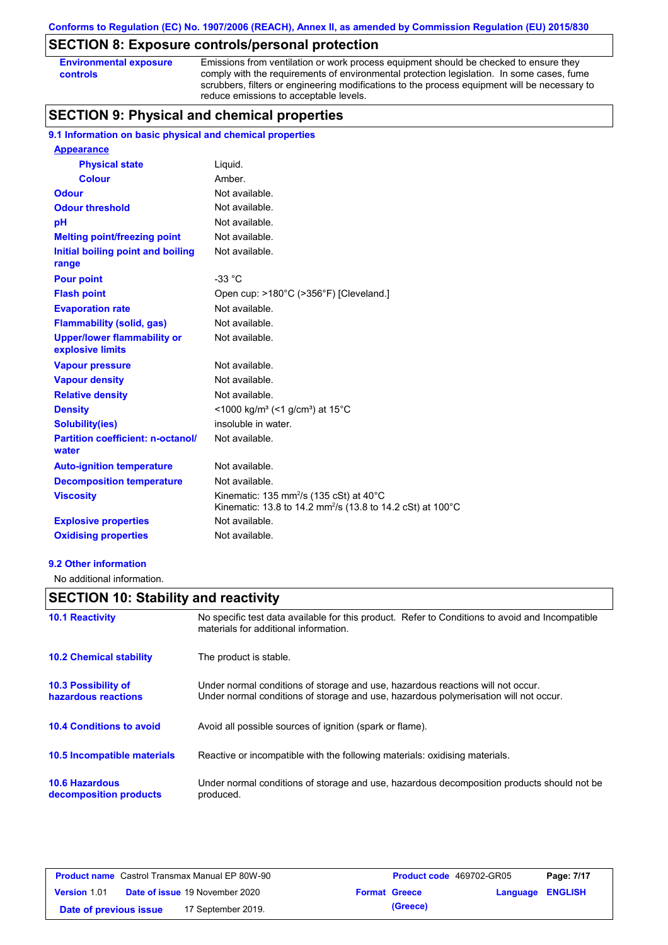## **SECTION 8: Exposure controls/personal protection**

| <b>Environmental exposure</b> |  |
|-------------------------------|--|
| <b>controls</b>               |  |

Emissions from ventilation or work process equipment should be checked to ensure they comply with the requirements of environmental protection legislation. In some cases, fume scrubbers, filters or engineering modifications to the process equipment will be necessary to reduce emissions to acceptable levels.

## **SECTION 9: Physical and chemical properties**

#### **9.1 Information on basic physical and chemical properties**

| <b>Appearance</b>                                      |                                                                                                                               |
|--------------------------------------------------------|-------------------------------------------------------------------------------------------------------------------------------|
| <b>Physical state</b>                                  | Liquid.                                                                                                                       |
| <b>Colour</b>                                          | Amber.                                                                                                                        |
| <b>Odour</b>                                           | Not available.                                                                                                                |
| <b>Odour threshold</b>                                 | Not available.                                                                                                                |
| pH                                                     | Not available.                                                                                                                |
| <b>Melting point/freezing point</b>                    | Not available.                                                                                                                |
| Initial boiling point and boiling<br>range             | Not available.                                                                                                                |
| <b>Pour point</b>                                      | $-33 °C$                                                                                                                      |
| <b>Flash point</b>                                     | Open cup: >180°C (>356°F) [Cleveland.]                                                                                        |
| <b>Evaporation rate</b>                                | Not available.                                                                                                                |
| <b>Flammability (solid, gas)</b>                       | Not available.                                                                                                                |
| <b>Upper/lower flammability or</b><br>explosive limits | Not available.                                                                                                                |
| <b>Vapour pressure</b>                                 | Not available.                                                                                                                |
| <b>Vapour density</b>                                  | Not available.                                                                                                                |
| <b>Relative density</b>                                | Not available.                                                                                                                |
| <b>Density</b>                                         | <1000 kg/m <sup>3</sup> (<1 g/cm <sup>3</sup> ) at 15 <sup>°</sup> C                                                          |
| <b>Solubility(ies)</b>                                 | insoluble in water.                                                                                                           |
| <b>Partition coefficient: n-octanol/</b><br>water      | Not available.                                                                                                                |
| <b>Auto-ignition temperature</b>                       | Not available.                                                                                                                |
| <b>Decomposition temperature</b>                       | Not available.                                                                                                                |
| <b>Viscosity</b>                                       | Kinematic: 135 mm <sup>2</sup> /s (135 cSt) at 40°C<br>Kinematic: 13.8 to 14.2 mm <sup>2</sup> /s (13.8 to 14.2 cSt) at 100°C |
| <b>Explosive properties</b>                            | Not available.                                                                                                                |
| <b>Oxidising properties</b>                            | Not available.                                                                                                                |

**9.2 Other information**

No additional information.

## **SECTION 10: Stability and reactivity**

| <b>10.1 Reactivity</b>                            | No specific test data available for this product. Refer to Conditions to avoid and Incompatible<br>materials for additional information.                                |
|---------------------------------------------------|-------------------------------------------------------------------------------------------------------------------------------------------------------------------------|
| <b>10.2 Chemical stability</b>                    | The product is stable.                                                                                                                                                  |
| <b>10.3 Possibility of</b><br>hazardous reactions | Under normal conditions of storage and use, hazardous reactions will not occur.<br>Under normal conditions of storage and use, hazardous polymerisation will not occur. |
| <b>10.4 Conditions to avoid</b>                   | Avoid all possible sources of ignition (spark or flame).                                                                                                                |
| 10.5 Incompatible materials                       | Reactive or incompatible with the following materials: oxidising materials.                                                                                             |
| <b>10.6 Hazardous</b><br>decomposition products   | Under normal conditions of storage and use, hazardous decomposition products should not be<br>produced.                                                                 |

| <b>Product name</b> Castrol Transmax Manual EP 80W-90 |                                       | <b>Product code</b> 469702-GR05 |                         | Page: 7/17 |
|-------------------------------------------------------|---------------------------------------|---------------------------------|-------------------------|------------|
| <b>Version 1.01</b>                                   | <b>Date of issue 19 November 2020</b> | <b>Format Greece</b>            | <b>Language ENGLISH</b> |            |
| Date of previous issue                                | 17 September 2019.                    | (Greece)                        |                         |            |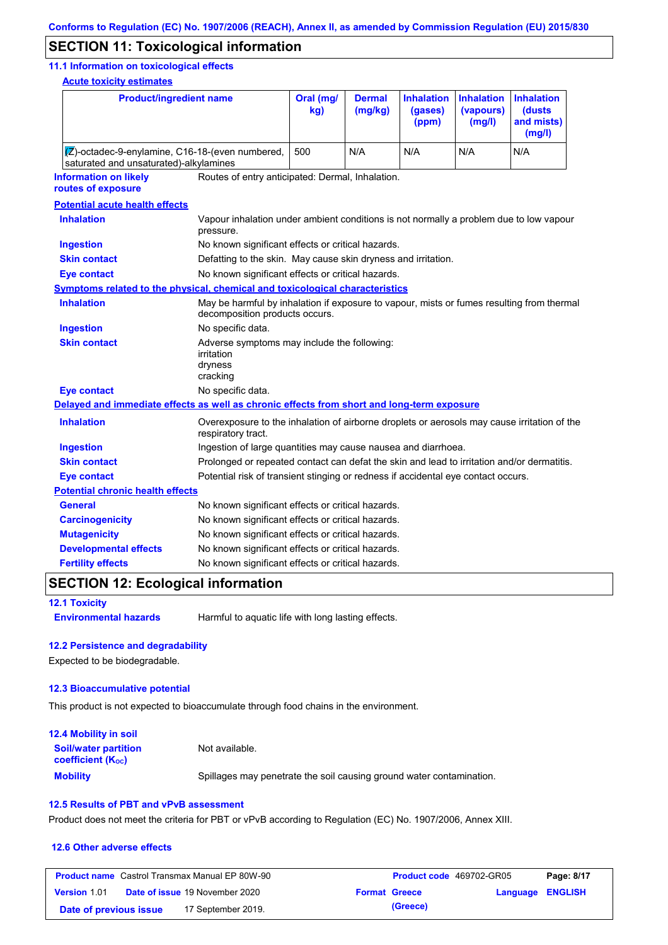## **SECTION 11: Toxicological information**

#### **11.1 Information on toxicological effects**

**Acute toxicity estimates**

| <b>Product/ingredient name</b>                                                             |                                                                                                     | Oral (mg/<br>kg)                                                                                                            | <b>Dermal</b><br>(mg/kg) | <b>Inhalation</b><br>(gases)<br>(ppm) | <b>Inhalation</b><br>(vapours)<br>(mg/l) | <b>Inhalation</b><br>(dusts<br>and mists)<br>(mg/l) |
|--------------------------------------------------------------------------------------------|-----------------------------------------------------------------------------------------------------|-----------------------------------------------------------------------------------------------------------------------------|--------------------------|---------------------------------------|------------------------------------------|-----------------------------------------------------|
| Z)-octadec-9-enylamine, C16-18-(even numbered,<br>saturated and unsaturated)-alkylamines   | 500                                                                                                 | N/A                                                                                                                         | N/A                      | N/A                                   | N/A                                      |                                                     |
| <b>Information on likely</b><br>routes of exposure                                         |                                                                                                     | Routes of entry anticipated: Dermal, Inhalation.                                                                            |                          |                                       |                                          |                                                     |
| <b>Potential acute health effects</b>                                                      |                                                                                                     |                                                                                                                             |                          |                                       |                                          |                                                     |
| <b>Inhalation</b>                                                                          | Vapour inhalation under ambient conditions is not normally a problem due to low vapour<br>pressure. |                                                                                                                             |                          |                                       |                                          |                                                     |
| <b>Ingestion</b>                                                                           | No known significant effects or critical hazards.                                                   |                                                                                                                             |                          |                                       |                                          |                                                     |
| <b>Skin contact</b>                                                                        | Defatting to the skin. May cause skin dryness and irritation.                                       |                                                                                                                             |                          |                                       |                                          |                                                     |
| <b>Eye contact</b>                                                                         | No known significant effects or critical hazards.                                                   |                                                                                                                             |                          |                                       |                                          |                                                     |
| Symptoms related to the physical, chemical and toxicological characteristics               |                                                                                                     |                                                                                                                             |                          |                                       |                                          |                                                     |
| <b>Inhalation</b>                                                                          |                                                                                                     | May be harmful by inhalation if exposure to vapour, mists or fumes resulting from thermal<br>decomposition products occurs. |                          |                                       |                                          |                                                     |
| <b>Ingestion</b>                                                                           | No specific data.                                                                                   |                                                                                                                             |                          |                                       |                                          |                                                     |
| <b>Skin contact</b>                                                                        | irritation<br>dryness<br>cracking                                                                   | Adverse symptoms may include the following:                                                                                 |                          |                                       |                                          |                                                     |
| <b>Eye contact</b>                                                                         | No specific data.                                                                                   |                                                                                                                             |                          |                                       |                                          |                                                     |
| Delayed and immediate effects as well as chronic effects from short and long-term exposure |                                                                                                     |                                                                                                                             |                          |                                       |                                          |                                                     |
| <b>Inhalation</b>                                                                          | respiratory tract.                                                                                  | Overexposure to the inhalation of airborne droplets or aerosols may cause irritation of the                                 |                          |                                       |                                          |                                                     |
| <b>Ingestion</b>                                                                           | Ingestion of large quantities may cause nausea and diarrhoea.                                       |                                                                                                                             |                          |                                       |                                          |                                                     |
| <b>Skin contact</b>                                                                        | Prolonged or repeated contact can defat the skin and lead to irritation and/or dermatitis.          |                                                                                                                             |                          |                                       |                                          |                                                     |
| <b>Eye contact</b>                                                                         | Potential risk of transient stinging or redness if accidental eye contact occurs.                   |                                                                                                                             |                          |                                       |                                          |                                                     |
| <b>Potential chronic health effects</b>                                                    |                                                                                                     |                                                                                                                             |                          |                                       |                                          |                                                     |
| <b>General</b>                                                                             | No known significant effects or critical hazards.                                                   |                                                                                                                             |                          |                                       |                                          |                                                     |
| <b>Carcinogenicity</b>                                                                     | No known significant effects or critical hazards.                                                   |                                                                                                                             |                          |                                       |                                          |                                                     |
| <b>Mutagenicity</b>                                                                        | No known significant effects or critical hazards.                                                   |                                                                                                                             |                          |                                       |                                          |                                                     |
| <b>Developmental effects</b>                                                               | No known significant effects or critical hazards.                                                   |                                                                                                                             |                          |                                       |                                          |                                                     |
| <b>Fertility effects</b>                                                                   |                                                                                                     | No known significant effects or critical hazards.                                                                           |                          |                                       |                                          |                                                     |

## **SECTION 12: Ecological information**

**12.1 Toxicity**

**Environmental hazards** Harmful to aquatic life with long lasting effects.

#### **12.2 Persistence and degradability**

Expected to be biodegradable.

#### **12.3 Bioaccumulative potential**

This product is not expected to bioaccumulate through food chains in the environment.

| <b>12.4 Mobility in soil</b>                                  |                                                                      |
|---------------------------------------------------------------|----------------------------------------------------------------------|
| <b>Soil/water partition</b><br>coefficient (K <sub>oc</sub> ) | Not available.                                                       |
| <b>Mobility</b>                                               | Spillages may penetrate the soil causing ground water contamination. |

#### **12.5 Results of PBT and vPvB assessment**

Product does not meet the criteria for PBT or vPvB according to Regulation (EC) No. 1907/2006, Annex XIII.

#### **12.6 Other adverse effects**

| <b>Product name</b> Castrol Transmax Manual EP 80W-90 |  |                                       | <b>Product code</b> 469702-GR05 | Page: 8/17           |                  |  |
|-------------------------------------------------------|--|---------------------------------------|---------------------------------|----------------------|------------------|--|
| Version 1.01                                          |  | <b>Date of issue 19 November 2020</b> |                                 | <b>Format Greece</b> | Language ENGLISH |  |
| Date of previous issue                                |  | 17 September 2019.                    |                                 | (Greece)             |                  |  |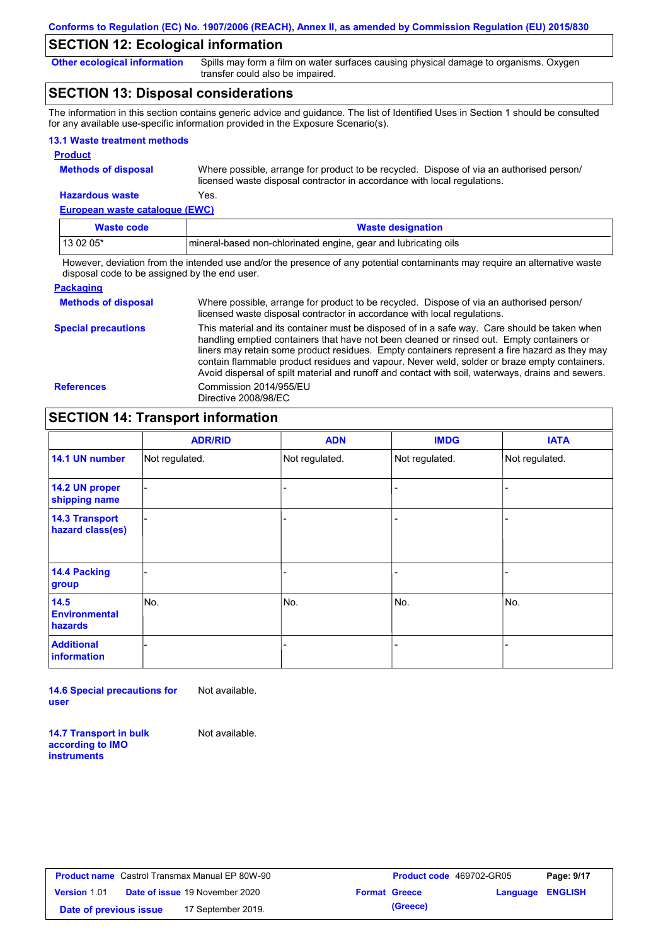### **SECTION 12: Ecological information**

**Other ecological information**

Spills may form a film on water surfaces causing physical damage to organisms. Oxygen transfer could also be impaired.

### **SECTION 13: Disposal considerations**

The information in this section contains generic advice and guidance. The list of Identified Uses in Section 1 should be consulted for any available use-specific information provided in the Exposure Scenario(s).

#### **13.1 Waste treatment methods**

#### **Product**

**Methods of disposal**

Where possible, arrange for product to be recycled. Dispose of via an authorised person/ licensed waste disposal contractor in accordance with local regulations.

### **Hazardous waste**

| European waste catalogue (EWC) |                                                                 |
|--------------------------------|-----------------------------------------------------------------|
| Waste code                     | <b>Waste designation</b>                                        |
| $130205*$                      | mineral-based non-chlorinated engine, gear and lubricating oils |

However, deviation from the intended use and/or the presence of any potential contaminants may require an alternative waste disposal code to be assigned by the end user.

#### **Packaging Methods of disposal Special precautions** Where possible, arrange for product to be recycled. Dispose of via an authorised person/ licensed waste disposal contractor in accordance with local regulations. This material and its container must be disposed of in a safe way. Care should be taken when handling emptied containers that have not been cleaned or rinsed out. Empty containers or liners may retain some product residues. Empty containers represent a fire hazard as they may contain flammable product residues and vapour. Never weld, solder or braze empty containers. Avoid dispersal of spilt material and runoff and contact with soil, waterways, drains and sewers. **References** Commission 2014/955/EU Directive 2008/98/EC

### **SECTION 14: Transport information**

|                                           | <b>ADR/RID</b> | <b>ADN</b>     | <b>IMDG</b>    | <b>IATA</b>    |
|-------------------------------------------|----------------|----------------|----------------|----------------|
| 14.1 UN number                            | Not regulated. | Not regulated. | Not regulated. | Not regulated. |
| 14.2 UN proper<br>shipping name           |                |                | -              |                |
| <b>14.3 Transport</b><br>hazard class(es) |                |                | -              |                |
| <b>14.4 Packing</b><br>group              |                |                |                |                |
| 14.5<br><b>Environmental</b><br>hazards   | No.            | No.            | No.            | No.            |
| <b>Additional</b><br>information          |                |                |                |                |

**14.6 Special precautions for user** Not available.

**14.7 Transport in bulk according to IMO instruments**

Not available.

**Product name** Castrol Transmax Manual EP 80W-90 **Product Code 469702-GR05 Page: 9/17 Version** 1.01 **Date of issue** 19 November 2020 **Date of previous issue 17 September 2019.** 

|                      |          | Product code 469702-GR05 | Page: 9/17 |
|----------------------|----------|--------------------------|------------|
| <b>Format Greece</b> |          | Language ENGLISH         |            |
|                      | (Greece) |                          |            |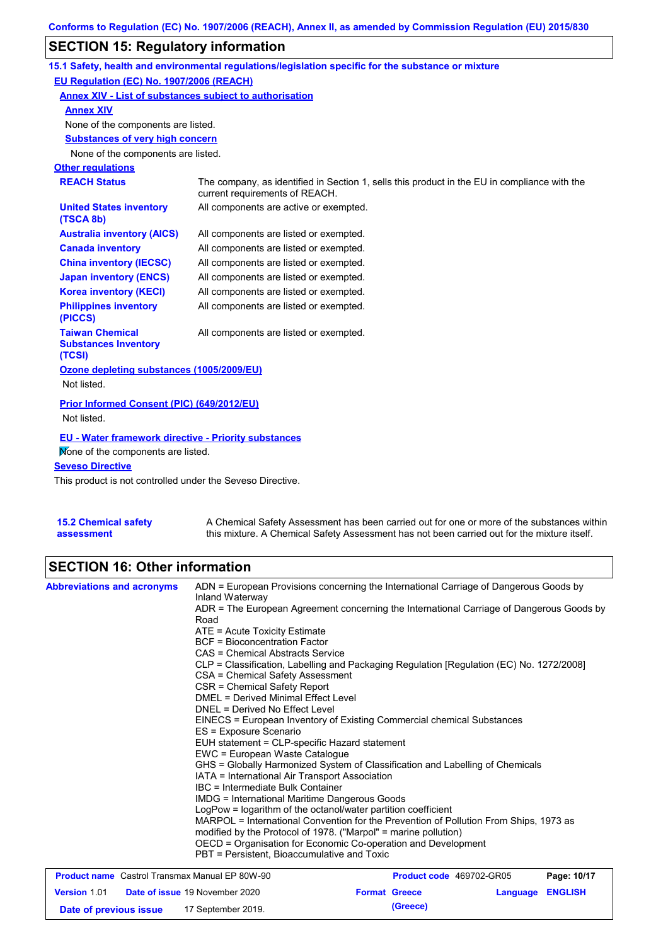## **SECTION 15: Regulatory information**

|                                                                 | 15.1 Safety, health and environmental regulations/legislation specific for the substance or mixture                            |
|-----------------------------------------------------------------|--------------------------------------------------------------------------------------------------------------------------------|
| EU Regulation (EC) No. 1907/2006 (REACH)                        |                                                                                                                                |
|                                                                 |                                                                                                                                |
| <b>Annex XIV - List of substances subject to authorisation</b>  |                                                                                                                                |
| <b>Annex XIV</b>                                                |                                                                                                                                |
| None of the components are listed.                              |                                                                                                                                |
| <b>Substances of very high concern</b>                          |                                                                                                                                |
| None of the components are listed.                              |                                                                                                                                |
| <b>Other regulations</b>                                        |                                                                                                                                |
| <b>REACH Status</b>                                             | The company, as identified in Section 1, sells this product in the EU in compliance with the<br>current requirements of REACH. |
| <b>United States inventory</b><br>(TSCA 8b)                     | All components are active or exempted.                                                                                         |
| <b>Australia inventory (AICS)</b>                               | All components are listed or exempted.                                                                                         |
| <b>Canada inventory</b>                                         | All components are listed or exempted.                                                                                         |
| <b>China inventory (IECSC)</b>                                  | All components are listed or exempted.                                                                                         |
| <b>Japan inventory (ENCS)</b>                                   | All components are listed or exempted.                                                                                         |
| <b>Korea inventory (KECI)</b>                                   | All components are listed or exempted.                                                                                         |
| <b>Philippines inventory</b><br>(PICCS)                         | All components are listed or exempted.                                                                                         |
| <b>Taiwan Chemical</b><br><b>Substances Inventory</b><br>(TCSI) | All components are listed or exempted.                                                                                         |
| Ozone depleting substances (1005/2009/EU)                       |                                                                                                                                |
| Not listed.                                                     |                                                                                                                                |
| Prior Informed Consent (PIC) (649/2012/EU)                      |                                                                                                                                |
| Not listed.                                                     |                                                                                                                                |
| <b>EU - Water framework directive - Priority substances</b>     |                                                                                                                                |
| Mone of the components are listed.                              |                                                                                                                                |
| <b>Seveso Directive</b>                                         |                                                                                                                                |

This product is not controlled under the Seveso Directive.

| <b>15.2 Chemical safety</b> | A Chemical Safety Assessment has been carried out for one or more of the substances within  |
|-----------------------------|---------------------------------------------------------------------------------------------|
| assessment                  | this mixture. A Chemical Safety Assessment has not been carried out for the mixture itself. |

## **SECTION 16: Other information**

| <b>Abbreviations and acronyms</b>                     | ADN = European Provisions concerning the International Carriage of Dangerous Goods by<br>Inland Waterway |                                 |          |                |
|-------------------------------------------------------|----------------------------------------------------------------------------------------------------------|---------------------------------|----------|----------------|
|                                                       | ADR = The European Agreement concerning the International Carriage of Dangerous Goods by<br>Road         |                                 |          |                |
|                                                       | $ATE = Acute Toxicity Estimate$                                                                          |                                 |          |                |
|                                                       | BCF = Bioconcentration Factor                                                                            |                                 |          |                |
|                                                       | CAS = Chemical Abstracts Service                                                                         |                                 |          |                |
|                                                       | CLP = Classification, Labelling and Packaging Regulation [Regulation (EC) No. 1272/2008]                 |                                 |          |                |
|                                                       | CSA = Chemical Safety Assessment                                                                         |                                 |          |                |
|                                                       | CSR = Chemical Safety Report                                                                             |                                 |          |                |
|                                                       | DMEL = Derived Minimal Effect Level                                                                      |                                 |          |                |
|                                                       | DNEL = Derived No Effect Level                                                                           |                                 |          |                |
|                                                       | EINECS = European Inventory of Existing Commercial chemical Substances                                   |                                 |          |                |
|                                                       | ES = Exposure Scenario                                                                                   |                                 |          |                |
|                                                       | EUH statement = CLP-specific Hazard statement                                                            |                                 |          |                |
|                                                       | EWC = European Waste Catalogue                                                                           |                                 |          |                |
|                                                       | GHS = Globally Harmonized System of Classification and Labelling of Chemicals                            |                                 |          |                |
|                                                       | IATA = International Air Transport Association                                                           |                                 |          |                |
|                                                       | IBC = Intermediate Bulk Container                                                                        |                                 |          |                |
|                                                       | <b>IMDG = International Maritime Dangerous Goods</b>                                                     |                                 |          |                |
|                                                       | LogPow = logarithm of the octanol/water partition coefficient                                            |                                 |          |                |
|                                                       | MARPOL = International Convention for the Prevention of Pollution From Ships, 1973 as                    |                                 |          |                |
|                                                       | modified by the Protocol of 1978. ("Marpol" = marine pollution)                                          |                                 |          |                |
|                                                       | OECD = Organisation for Economic Co-operation and Development                                            |                                 |          |                |
|                                                       | PBT = Persistent, Bioaccumulative and Toxic                                                              |                                 |          |                |
| <b>Product name</b> Castrol Transmax Manual EP 80W-90 |                                                                                                          | <b>Product code</b> 469702-GR05 |          | Page: 10/17    |
| <b>Version 1.01</b>                                   | <b>Date of issue 19 November 2020</b>                                                                    | <b>Format Greece</b>            | Language | <b>ENGLISH</b> |

**Date of previous issue (Greece)** 17 September 2019.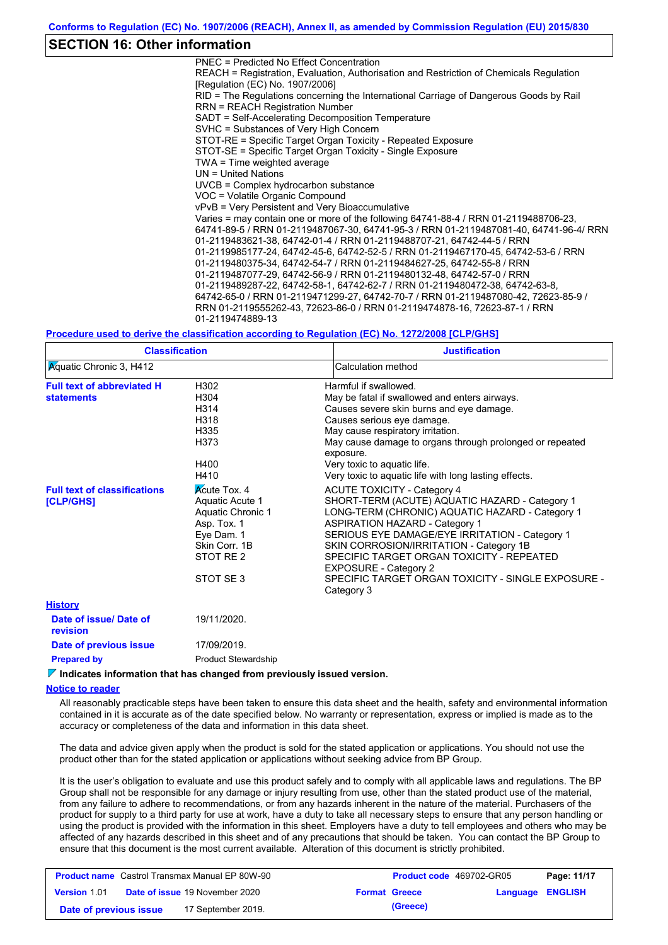### **SECTION 16: Other information**

PNEC = Predicted No Effect Concentration REACH = Registration, Evaluation, Authorisation and Restriction of Chemicals Regulation [Regulation (EC) No. 1907/2006] RID = The Regulations concerning the International Carriage of Dangerous Goods by Rail RRN = REACH Registration Number SADT = Self-Accelerating Decomposition Temperature SVHC = Substances of Very High Concern STOT-RE = Specific Target Organ Toxicity - Repeated Exposure STOT-SE = Specific Target Organ Toxicity - Single Exposure TWA = Time weighted average UN = United Nations UVCB = Complex hydrocarbon substance VOC = Volatile Organic Compound vPvB = Very Persistent and Very Bioaccumulative Varies = may contain one or more of the following 64741-88-4 / RRN 01-2119488706-23, 64741-89-5 / RRN 01-2119487067-30, 64741-95-3 / RRN 01-2119487081-40, 64741-96-4/ RRN 01-2119483621-38, 64742-01-4 / RRN 01-2119488707-21, 64742-44-5 / RRN 01-2119985177-24, 64742-45-6, 64742-52-5 / RRN 01-2119467170-45, 64742-53-6 / RRN 01-2119480375-34, 64742-54-7 / RRN 01-2119484627-25, 64742-55-8 / RRN 01-2119487077-29, 64742-56-9 / RRN 01-2119480132-48, 64742-57-0 / RRN 01-2119489287-22, 64742-58-1, 64742-62-7 / RRN 01-2119480472-38, 64742-63-8, 64742-65-0 / RRN 01-2119471299-27, 64742-70-7 / RRN 01-2119487080-42, 72623-85-9 / RRN 01-2119555262-43, 72623-86-0 / RRN 01-2119474878-16, 72623-87-1 / RRN 01-2119474889-13

#### **Procedure used to derive the classification according to Regulation (EC) No. 1272/2008 [CLP/GHS]**

| <b>Classification</b>                                  |                                                                                                                                    | <b>Justification</b>                                                                                                                                                                                                                                                                                                                                                                                                           |
|--------------------------------------------------------|------------------------------------------------------------------------------------------------------------------------------------|--------------------------------------------------------------------------------------------------------------------------------------------------------------------------------------------------------------------------------------------------------------------------------------------------------------------------------------------------------------------------------------------------------------------------------|
| <b>Aquatic Chronic 3, H412</b>                         |                                                                                                                                    | Calculation method                                                                                                                                                                                                                                                                                                                                                                                                             |
| <b>Full text of abbreviated H</b><br><b>statements</b> | H302<br>H304<br>H314<br>H318<br>H335<br>H373<br>H400<br>H410                                                                       | Harmful if swallowed.<br>May be fatal if swallowed and enters airways.<br>Causes severe skin burns and eye damage.<br>Causes serious eye damage.<br>May cause respiratory irritation.<br>May cause damage to organs through prolonged or repeated<br>exposure.<br>Very toxic to aquatic life.<br>Very toxic to aquatic life with long lasting effects.                                                                         |
| <b>Full text of classifications</b><br>[CLP/GHS]       | <b>Acute Tox. 4</b><br>Aquatic Acute 1<br>Aquatic Chronic 1<br>Asp. Tox. 1<br>Eye Dam. 1<br>Skin Corr. 1B<br>STOT RE 2<br>STOT SE3 | <b>ACUTE TOXICITY - Category 4</b><br>SHORT-TERM (ACUTE) AQUATIC HAZARD - Category 1<br>LONG-TERM (CHRONIC) AQUATIC HAZARD - Category 1<br><b>ASPIRATION HAZARD - Category 1</b><br>SERIOUS EYE DAMAGE/EYE IRRITATION - Category 1<br>SKIN CORROSION/IRRITATION - Category 1B<br>SPECIFIC TARGET ORGAN TOXICITY - REPEATED<br><b>EXPOSURE - Category 2</b><br>SPECIFIC TARGET ORGAN TOXICITY - SINGLE EXPOSURE -<br>Category 3 |
| <b>History</b>                                         |                                                                                                                                    |                                                                                                                                                                                                                                                                                                                                                                                                                                |
| Date of issue/Date of<br>revision                      | 19/11/2020.                                                                                                                        |                                                                                                                                                                                                                                                                                                                                                                                                                                |
| Date of previous issue                                 | 17/09/2019.                                                                                                                        |                                                                                                                                                                                                                                                                                                                                                                                                                                |
| <b>Prepared by</b>                                     | Product Stewardship                                                                                                                |                                                                                                                                                                                                                                                                                                                                                                                                                                |

**Indicates information that has changed from previously issued version.**

#### **Notice to reader**

All reasonably practicable steps have been taken to ensure this data sheet and the health, safety and environmental information contained in it is accurate as of the date specified below. No warranty or representation, express or implied is made as to the accuracy or completeness of the data and information in this data sheet.

The data and advice given apply when the product is sold for the stated application or applications. You should not use the product other than for the stated application or applications without seeking advice from BP Group.

It is the user's obligation to evaluate and use this product safely and to comply with all applicable laws and regulations. The BP Group shall not be responsible for any damage or injury resulting from use, other than the stated product use of the material, from any failure to adhere to recommendations, or from any hazards inherent in the nature of the material. Purchasers of the product for supply to a third party for use at work, have a duty to take all necessary steps to ensure that any person handling or using the product is provided with the information in this sheet. Employers have a duty to tell employees and others who may be affected of any hazards described in this sheet and of any precautions that should be taken. You can contact the BP Group to ensure that this document is the most current available. Alteration of this document is strictly prohibited.

|                        | <b>Product name</b> Castrol Transmax Manual EP 80W-90 | <b>Product code</b> 469702-GR05 |                         | Page: 11/17 |
|------------------------|-------------------------------------------------------|---------------------------------|-------------------------|-------------|
| <b>Version 1.01</b>    | <b>Date of issue 19 November 2020</b>                 | <b>Format Greece</b>            | <b>Language ENGLISH</b> |             |
| Date of previous issue | 17 September 2019.                                    | (Greece)                        |                         |             |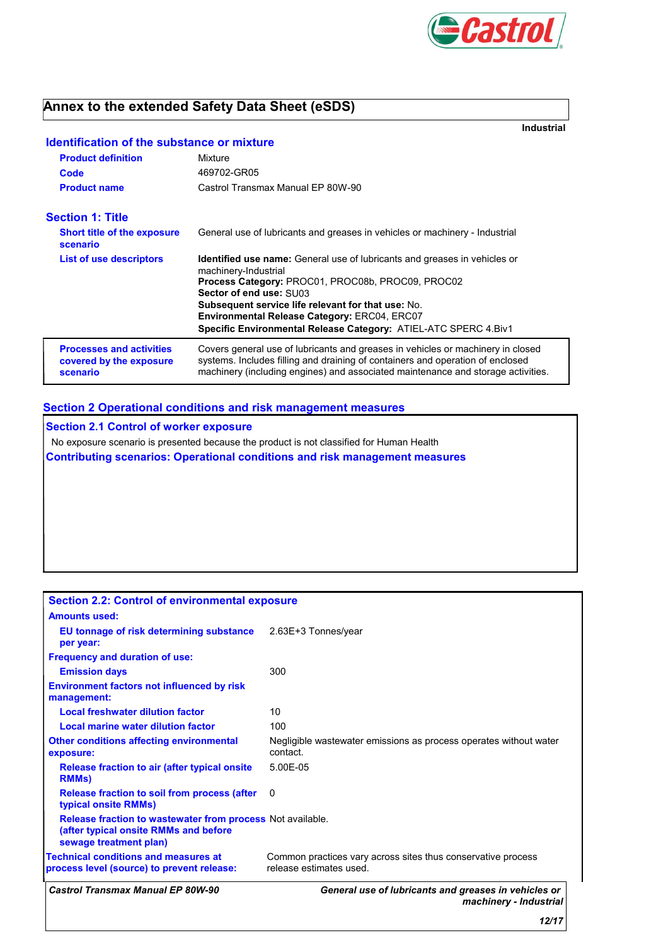

## **Annex to the extended Safety Data Sheet (eSDS)**

**Industrial**

### **Identification of the substance or mixture**

| <b>Product definition</b>                                              | Mixture                                                                                                                                                                                                                                                                                                                                                                  |
|------------------------------------------------------------------------|--------------------------------------------------------------------------------------------------------------------------------------------------------------------------------------------------------------------------------------------------------------------------------------------------------------------------------------------------------------------------|
| Code                                                                   | 469702-GR05                                                                                                                                                                                                                                                                                                                                                              |
| <b>Product name</b>                                                    | Castrol Transmax Manual EP 80W-90                                                                                                                                                                                                                                                                                                                                        |
| <b>Section 1: Title</b>                                                |                                                                                                                                                                                                                                                                                                                                                                          |
| <b>Short title of the exposure</b><br>scenario                         | General use of lubricants and greases in vehicles or machinery - Industrial                                                                                                                                                                                                                                                                                              |
| List of use descriptors                                                | <b>Identified use name:</b> General use of lubricants and greases in vehicles or<br>machinery-Industrial<br>Process Category: PROC01, PROC08b, PROC09, PROC02<br>Sector of end use: SU03<br><b>Subsequent service life relevant for that use: No.</b><br>Environmental Release Category: ERC04, ERC07<br>Specific Environmental Release Category: ATIEL-ATC SPERC 4.Biv1 |
| <b>Processes and activities</b><br>covered by the exposure<br>scenario | Covers general use of lubricants and greases in vehicles or machinery in closed<br>systems. Includes filling and draining of containers and operation of enclosed<br>machinery (including engines) and associated maintenance and storage activities.                                                                                                                    |

### **Section 2 Operational conditions and risk management measures**

**Section 2.1 Control of worker exposure** No exposure scenario is presented because the product is not classified for Human Health **Contributing scenarios: Operational conditions and risk management measures**

| <b>Castrol Transmax Manual EP 80W-90</b>                                                                                      | General use of lubricants and greases in vehicles or<br>machinery - Industrial          |
|-------------------------------------------------------------------------------------------------------------------------------|-----------------------------------------------------------------------------------------|
| <b>Technical conditions and measures at</b><br>process level (source) to prevent release:                                     | Common practices vary across sites thus conservative process<br>release estimates used. |
| Release fraction to wastewater from process Not available.<br>(after typical onsite RMMs and before<br>sewage treatment plan) |                                                                                         |
| Release fraction to soil from process (after<br>typical onsite RMMs)                                                          | 0                                                                                       |
| Release fraction to air (after typical onsite)<br><b>RMMs</b> )                                                               | $5.00F - 0.5$                                                                           |
| <b>Other conditions affecting environmental</b><br>exposure:                                                                  | Negligible wastewater emissions as process operates without water<br>contact.           |
| Local marine water dilution factor                                                                                            | 100                                                                                     |
| <b>Local freshwater dilution factor</b>                                                                                       | 10                                                                                      |
| <b>Environment factors not influenced by risk</b><br>management:                                                              |                                                                                         |
| <b>Emission days</b>                                                                                                          | 300                                                                                     |
| <b>Frequency and duration of use:</b>                                                                                         |                                                                                         |
| <b>EU tonnage of risk determining substance</b> 2.63E+3 Tonnes/year<br>per year:                                              |                                                                                         |
| <b>Amounts used:</b>                                                                                                          |                                                                                         |
| <b>Section 2.2: Control of environmental exposure</b>                                                                         |                                                                                         |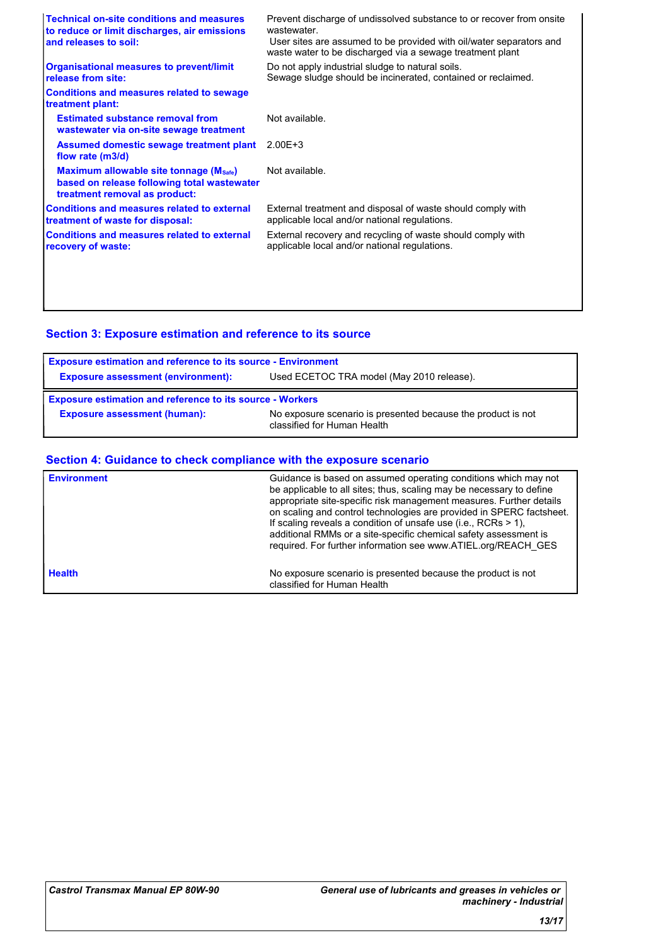| <b>Technical on-site conditions and measures</b><br>to reduce or limit discharges, air emissions<br>and releases to soil:     | Prevent discharge of undissolved substance to or recover from onsite<br>wastewater.<br>User sites are assumed to be provided with oil/water separators and<br>waste water to be discharged via a sewage treatment plant |
|-------------------------------------------------------------------------------------------------------------------------------|-------------------------------------------------------------------------------------------------------------------------------------------------------------------------------------------------------------------------|
| <b>Organisational measures to prevent/limit</b><br>release from site:                                                         | Do not apply industrial sludge to natural soils.<br>Sewage sludge should be incinerated, contained or reclaimed.                                                                                                        |
| <b>Conditions and measures related to sewage</b><br>treatment plant:                                                          |                                                                                                                                                                                                                         |
| <b>Estimated substance removal from</b><br>wastewater via on-site sewage treatment                                            | Not available.                                                                                                                                                                                                          |
| Assumed domestic sewage treatment plant<br>flow rate (m3/d)                                                                   | $2.00E + 3$                                                                                                                                                                                                             |
| <b>Maximum allowable site tonnage (Msafe)</b><br>based on release following total wastewater<br>treatment removal as product: | Not available.                                                                                                                                                                                                          |
| <b>Conditions and measures related to external</b><br>treatment of waste for disposal:                                        | External treatment and disposal of waste should comply with<br>applicable local and/or national regulations.                                                                                                            |
| <b>Conditions and measures related to external</b><br>recovery of waste:                                                      | External recovery and recycling of waste should comply with<br>applicable local and/or national regulations.                                                                                                            |
|                                                                                                                               |                                                                                                                                                                                                                         |
|                                                                                                                               |                                                                                                                                                                                                                         |

## **Section 3: Exposure estimation and reference to its source**

| <b>Exposure estimation and reference to its source - Environment</b> |                                           |  |
|----------------------------------------------------------------------|-------------------------------------------|--|
| <b>Exposure assessment (environment):</b>                            | Used ECETOC TRA model (May 2010 release). |  |
|                                                                      |                                           |  |
| <b>Exposure estimation and reference to its source - Workers</b>     |                                           |  |

### **Section 4: Guidance to check compliance with the exposure scenario**

| <b>Environment</b> | Guidance is based on assumed operating conditions which may not<br>be applicable to all sites; thus, scaling may be necessary to define<br>appropriate site-specific risk management measures. Further details<br>on scaling and control technologies are provided in SPERC factsheet.<br>If scaling reveals a condition of unsafe use (i.e., RCRs $> 1$ ),<br>additional RMMs or a site-specific chemical safety assessment is<br>required. For further information see www.ATIEL.org/REACH_GES |
|--------------------|--------------------------------------------------------------------------------------------------------------------------------------------------------------------------------------------------------------------------------------------------------------------------------------------------------------------------------------------------------------------------------------------------------------------------------------------------------------------------------------------------|
| <b>Health</b>      | No exposure scenario is presented because the product is not<br>classified for Human Health                                                                                                                                                                                                                                                                                                                                                                                                      |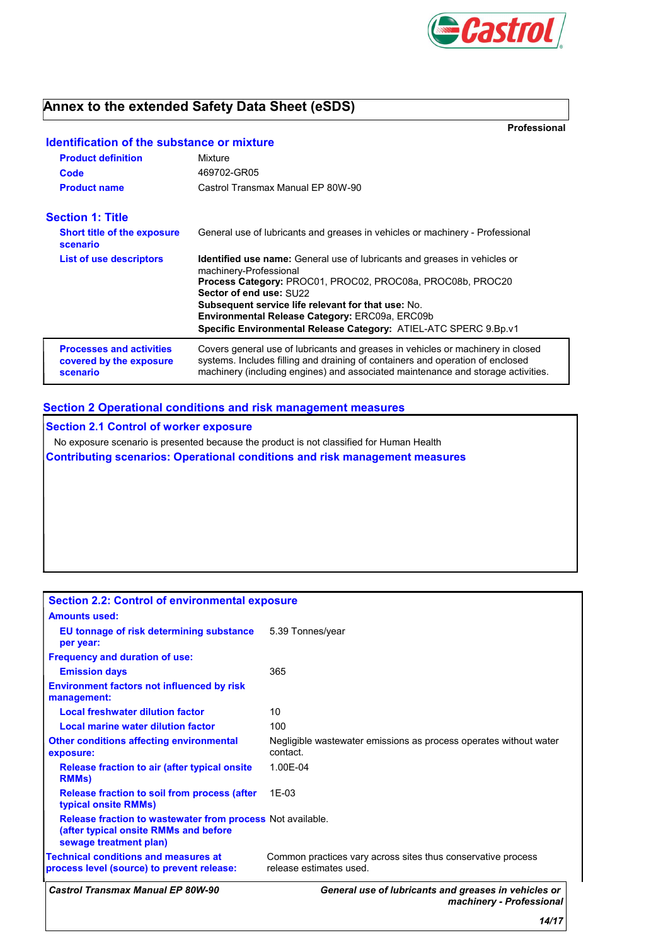

## **Annex to the extended Safety Data Sheet (eSDS)**

**Professional**

| <b>Product definition</b>                                              | Mixture                                                                                                                                                                                                                                               |
|------------------------------------------------------------------------|-------------------------------------------------------------------------------------------------------------------------------------------------------------------------------------------------------------------------------------------------------|
| Code                                                                   | 469702-GR05                                                                                                                                                                                                                                           |
| <b>Product name</b>                                                    | Castrol Transmax Manual FP 80W-90                                                                                                                                                                                                                     |
| <b>Section 1: Title</b>                                                |                                                                                                                                                                                                                                                       |
| <b>Short title of the exposure</b><br>scenario                         | General use of lubricants and greases in vehicles or machinery - Professional                                                                                                                                                                         |
| List of use descriptors                                                | <b>Identified use name:</b> General use of lubricants and greases in vehicles or<br>machinery-Professional<br>Process Category: PROC01, PROC02, PROC08a, PROC08b, PROC20<br>Sector of end use: SU22                                                   |
|                                                                        | <b>Subsequent service life relevant for that use: No.</b><br><b>Environmental Release Category: ERC09a, ERC09b</b><br>Specific Environmental Release Category: ATIEL-ATC SPERC 9.Bp.v1                                                                |
| <b>Processes and activities</b><br>covered by the exposure<br>scenario | Covers general use of lubricants and greases in vehicles or machinery in closed<br>systems. Includes filling and draining of containers and operation of enclosed<br>machinery (including engines) and associated maintenance and storage activities. |

### **Section 2 Operational conditions and risk management measures**

**Section 2.1 Control of worker exposure**

No exposure scenario is presented because the product is not classified for Human Health

**Contributing scenarios: Operational conditions and risk management measures**

| <b>Section 2.2: Control of environmental exposure</b>                                                                         |                                                                                         |
|-------------------------------------------------------------------------------------------------------------------------------|-----------------------------------------------------------------------------------------|
| <b>Amounts used:</b>                                                                                                          |                                                                                         |
| EU tonnage of risk determining substance<br>per year:                                                                         | 5.39 Tonnes/year                                                                        |
| <b>Frequency and duration of use:</b>                                                                                         |                                                                                         |
| <b>Emission days</b>                                                                                                          | 365                                                                                     |
| <b>Environment factors not influenced by risk</b><br>management:                                                              |                                                                                         |
| <b>Local freshwater dilution factor</b>                                                                                       | 10                                                                                      |
| Local marine water dilution factor                                                                                            | 100                                                                                     |
| <b>Other conditions affecting environmental</b><br>exposure:                                                                  | Negligible wastewater emissions as process operates without water<br>contact.           |
| Release fraction to air (after typical onsite<br><b>RMMs</b> )                                                                | 1.00E-04                                                                                |
| Release fraction to soil from process (after<br>typical onsite RMMs)                                                          | $1F-0.3$                                                                                |
| Release fraction to wastewater from process Not available.<br>(after typical onsite RMMs and before<br>sewage treatment plan) |                                                                                         |
| <b>Technical conditions and measures at</b><br>process level (source) to prevent release:                                     | Common practices vary across sites thus conservative process<br>release estimates used. |
| <b>Castrol Transmax Manual EP 80W-90</b>                                                                                      | General use of lubricants and greases in vehicles or<br>machinery - Professional        |
|                                                                                                                               | 14/17                                                                                   |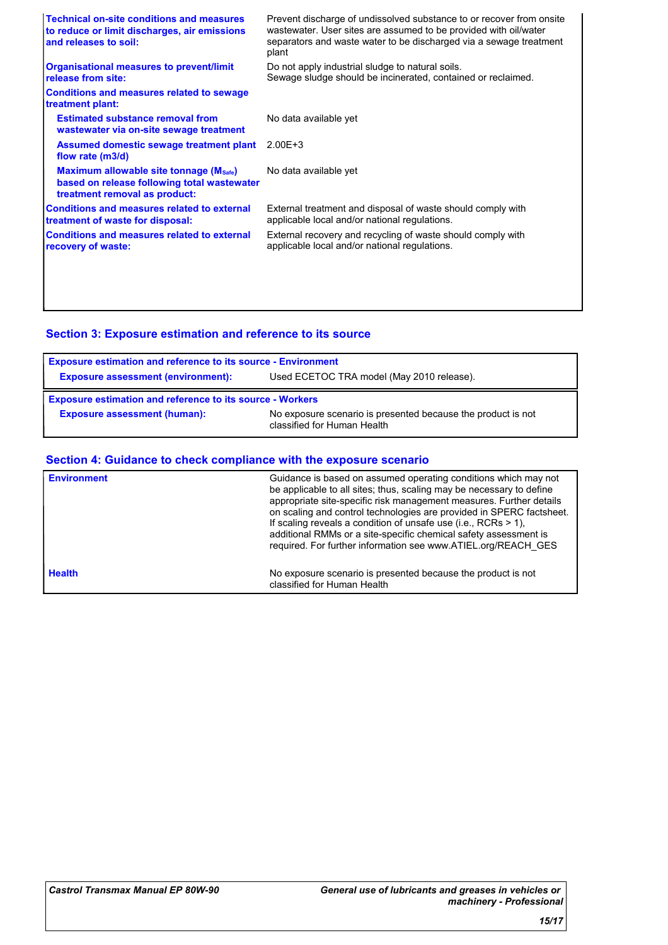| <b>Technical on-site conditions and measures</b><br>to reduce or limit discharges, air emissions<br>and releases to soil: | Prevent discharge of undissolved substance to or recover from onsite<br>wastewater. User sites are assumed to be provided with oil/water<br>separators and waste water to be discharged via a sewage treatment<br>plant |
|---------------------------------------------------------------------------------------------------------------------------|-------------------------------------------------------------------------------------------------------------------------------------------------------------------------------------------------------------------------|
| <b>Organisational measures to prevent/limit</b><br>release from site:                                                     | Do not apply industrial sludge to natural soils.<br>Sewage sludge should be incinerated, contained or reclaimed.                                                                                                        |
| <b>Conditions and measures related to sewage</b><br>treatment plant:                                                      |                                                                                                                                                                                                                         |
| <b>Estimated substance removal from</b><br>wastewater via on-site sewage treatment                                        | No data available yet                                                                                                                                                                                                   |
| Assumed domestic sewage treatment plant<br>flow rate (m3/d)                                                               | $2.00E + 3$                                                                                                                                                                                                             |
| Maximum allowable site tonnage (Msafe)<br>based on release following total wastewater<br>treatment removal as product:    | No data available yet                                                                                                                                                                                                   |
| <b>Conditions and measures related to external</b><br>treatment of waste for disposal:                                    | External treatment and disposal of waste should comply with<br>applicable local and/or national regulations.                                                                                                            |
| <b>Conditions and measures related to external</b><br>recovery of waste:                                                  | External recovery and recycling of waste should comply with<br>applicable local and/or national regulations.                                                                                                            |
|                                                                                                                           |                                                                                                                                                                                                                         |
|                                                                                                                           |                                                                                                                                                                                                                         |

## **Section 3: Exposure estimation and reference to its source**

| <b>Exposure estimation and reference to its source - Environment</b> |                                                                                             |  |
|----------------------------------------------------------------------|---------------------------------------------------------------------------------------------|--|
| <b>Exposure assessment (environment):</b>                            | Used ECETOC TRA model (May 2010 release).                                                   |  |
| <b>Exposure estimation and reference to its source - Workers</b>     |                                                                                             |  |
| <b>Exposure assessment (human):</b>                                  | No exposure scenario is presented because the product is not<br>classified for Human Health |  |

### **Section 4: Guidance to check compliance with the exposure scenario**

| <b>Environment</b> | Guidance is based on assumed operating conditions which may not<br>be applicable to all sites; thus, scaling may be necessary to define<br>appropriate site-specific risk management measures. Further details<br>on scaling and control technologies are provided in SPERC factsheet.<br>If scaling reveals a condition of unsafe use (i.e., RCRs $> 1$ ),<br>additional RMMs or a site-specific chemical safety assessment is<br>required. For further information see www.ATIEL.org/REACH_GES |
|--------------------|--------------------------------------------------------------------------------------------------------------------------------------------------------------------------------------------------------------------------------------------------------------------------------------------------------------------------------------------------------------------------------------------------------------------------------------------------------------------------------------------------|
| <b>Health</b>      | No exposure scenario is presented because the product is not<br>classified for Human Health                                                                                                                                                                                                                                                                                                                                                                                                      |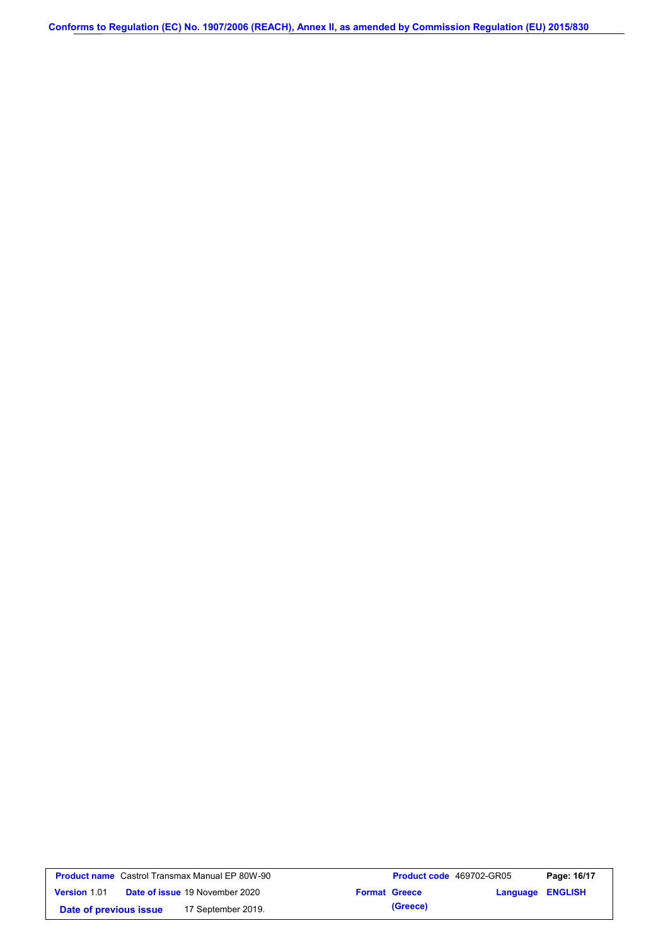**Conforms to Regulation (EC) No. 1907/2006 (REACH), Annex II, as amended by Commission Regulation (EU) 2015/830**

| <b>Product name</b> Castrol Transmax Manual EP 80W-90 |  |                                       | <b>Product code</b> 469702-GR05 |                      | Page: 16/17             |  |
|-------------------------------------------------------|--|---------------------------------------|---------------------------------|----------------------|-------------------------|--|
| <b>Version 1.01</b>                                   |  | <b>Date of issue 19 November 2020</b> |                                 | <b>Format Greece</b> | <b>Language ENGLISH</b> |  |
| Date of previous issue                                |  | 17 September 2019.                    |                                 | (Greece)             |                         |  |

 $\mathsf{l}$